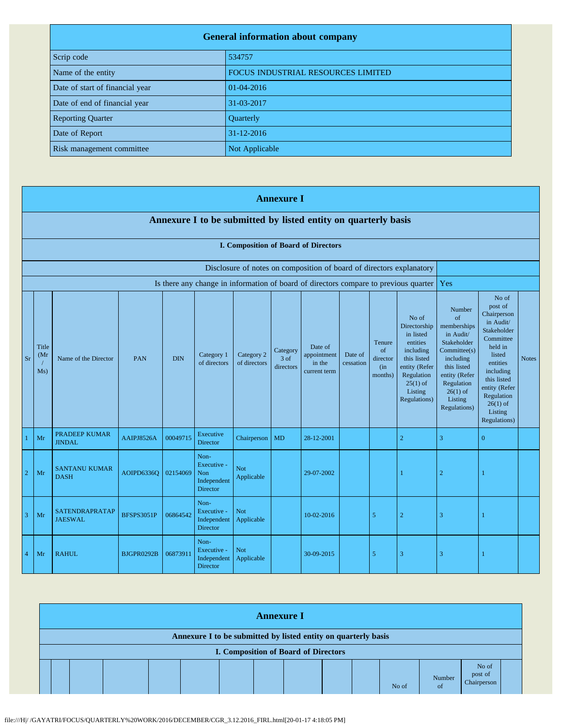| <b>General information about company</b> |                                    |  |  |  |
|------------------------------------------|------------------------------------|--|--|--|
| Scrip code                               | 534757                             |  |  |  |
| Name of the entity                       | FOCUS INDUSTRIAL RESOURCES LIMITED |  |  |  |
| Date of start of financial year          | 01-04-2016                         |  |  |  |
| Date of end of financial year            | 31-03-2017                         |  |  |  |
| <b>Reporting Quarter</b>                 | Quarterly                          |  |  |  |
| Date of Report                           | 31-12-2016                         |  |  |  |
| Risk management committee                | Not Applicable                     |  |  |  |

|                | <b>Annexure I</b>                                              |                                       |                   |            |                                                       |                            |                               |                                                                      |                      |                                             |                                                                                                                                                    |                                                                                                                                                                             |                                                                                                                                                                                                               |              |
|----------------|----------------------------------------------------------------|---------------------------------------|-------------------|------------|-------------------------------------------------------|----------------------------|-------------------------------|----------------------------------------------------------------------|----------------------|---------------------------------------------|----------------------------------------------------------------------------------------------------------------------------------------------------|-----------------------------------------------------------------------------------------------------------------------------------------------------------------------------|---------------------------------------------------------------------------------------------------------------------------------------------------------------------------------------------------------------|--------------|
|                | Annexure I to be submitted by listed entity on quarterly basis |                                       |                   |            |                                                       |                            |                               |                                                                      |                      |                                             |                                                                                                                                                    |                                                                                                                                                                             |                                                                                                                                                                                                               |              |
|                | I. Composition of Board of Directors                           |                                       |                   |            |                                                       |                            |                               |                                                                      |                      |                                             |                                                                                                                                                    |                                                                                                                                                                             |                                                                                                                                                                                                               |              |
|                |                                                                |                                       |                   |            |                                                       |                            |                               | Disclosure of notes on composition of board of directors explanatory |                      |                                             |                                                                                                                                                    |                                                                                                                                                                             |                                                                                                                                                                                                               |              |
|                |                                                                |                                       |                   |            |                                                       |                            |                               |                                                                      |                      |                                             | Is there any change in information of board of directors compare to previous quarter                                                               | Yes                                                                                                                                                                         |                                                                                                                                                                                                               |              |
| <b>Sr</b>      | Title<br>(Mr)<br>Ms)                                           | Name of the Director                  | PAN               | <b>DIN</b> | Category 1<br>of directors                            | Category 2<br>of directors | Category<br>3 of<br>directors | Date of<br>appointment<br>in the<br>current term                     | Date of<br>cessation | Tenure<br>of<br>director<br>(in)<br>months) | No of<br>Directorship<br>in listed<br>entities<br>including<br>this listed<br>entity (Refer<br>Regulation<br>$25(1)$ of<br>Listing<br>Regulations) | Number<br>of<br>memberships<br>in Audit/<br>Stakeholder<br>Committee(s)<br>including<br>this listed<br>entity (Refer<br>Regulation<br>$26(1)$ of<br>Listing<br>Regulations) | No of<br>post of<br>Chairperson<br>in Audit/<br>Stakeholder<br>Committee<br>held in<br>listed<br>entities<br>including<br>this listed<br>entity (Refer<br>Regulation<br>$26(1)$ of<br>Listing<br>Regulations) | <b>Notes</b> |
|                | Mr                                                             | <b>PRADEEP KUMAR</b><br><b>JINDAL</b> | AAIPJ8526A        | 00049715   | Executive<br><b>Director</b>                          | Chairperson                | MD                            | 28-12-2001                                                           |                      |                                             | $\overline{2}$                                                                                                                                     | $\overline{3}$                                                                                                                                                              | $\mathbf{0}$                                                                                                                                                                                                  |              |
| $\overline{2}$ | Mr                                                             | <b>SANTANU KUMAR</b><br><b>DASH</b>   | AOIPD6336Q        | 02154069   | Non-<br>Executive -<br>Non<br>Independent<br>Director | <b>Not</b><br>Applicable   |                               | 29-07-2002                                                           |                      |                                             | -1                                                                                                                                                 | $\overline{2}$                                                                                                                                                              |                                                                                                                                                                                                               |              |
| $\overline{3}$ | Mr                                                             | SATENDRAPRATAP<br><b>JAESWAL</b>      | <b>BFSPS3051P</b> | 06864542   | Non-<br>Executive -<br>Independent<br><b>Director</b> | <b>Not</b><br>Applicable   |                               | 10-02-2016                                                           |                      | 5                                           | $\overline{2}$                                                                                                                                     | $\overline{3}$                                                                                                                                                              |                                                                                                                                                                                                               |              |
| $\overline{4}$ | Mr                                                             | <b>RAHUL</b>                          | BJGPR0292B        | 06873911   | Non-<br>Executive -<br>Independent<br><b>Director</b> | <b>Not</b><br>Applicable   |                               | 30-09-2015                                                           |                      | 5                                           | 3                                                                                                                                                  | 3                                                                                                                                                                           |                                                                                                                                                                                                               |              |

| <b>Annexure I</b>                                                                                             |  |  |  |  |  |  |  |  |  |  |       |                         |                                 |  |
|---------------------------------------------------------------------------------------------------------------|--|--|--|--|--|--|--|--|--|--|-------|-------------------------|---------------------------------|--|
| Annexure I to be submitted by listed entity on quarterly basis<br><b>I. Composition of Board of Directors</b> |  |  |  |  |  |  |  |  |  |  |       |                         |                                 |  |
|                                                                                                               |  |  |  |  |  |  |  |  |  |  | No of | Number<br><sub>of</sub> | No of<br>post of<br>Chairperson |  |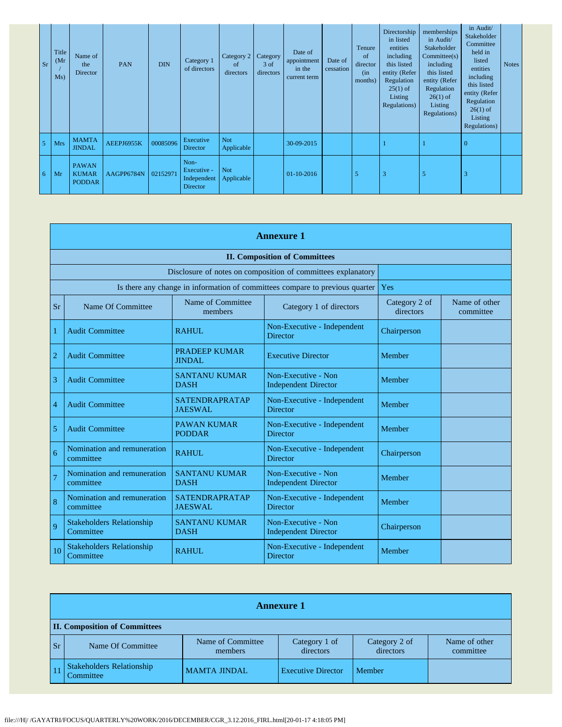| <b>Sr</b>      | Title<br>(Mr)<br>Ms) | Name of<br>the<br>Director                    | <b>PAN</b> | <b>DIN</b> | Category 1<br>of directors                            | Category 2<br><sub>of</sub><br>directors | Category<br>$3$ of<br>directors | Date of<br>appointment<br>in the<br>current term | Date of<br>cessation | Tenure<br>of<br>director<br>(in<br>months) | Directorship<br>in listed<br>entities<br>including<br>this listed<br>entity (Refer<br>Regulation<br>$25(1)$ of<br>Listing<br>Regulations) | memberships<br>in Audit/<br>Stakeholder<br>Commitee(s)<br>including<br>this listed<br>entity (Refer<br>Regulation<br>$26(1)$ of<br>Listing<br>Regulations) | in Audit/<br>Stakeholder<br>Committee<br>held in<br>listed<br>entities<br>including<br>this listed<br>entity (Refer<br>Regulation<br>$26(1)$ of<br>Listing<br>Regulations) | <b>Notes</b> |
|----------------|----------------------|-----------------------------------------------|------------|------------|-------------------------------------------------------|------------------------------------------|---------------------------------|--------------------------------------------------|----------------------|--------------------------------------------|-------------------------------------------------------------------------------------------------------------------------------------------|------------------------------------------------------------------------------------------------------------------------------------------------------------|----------------------------------------------------------------------------------------------------------------------------------------------------------------------------|--------------|
| $\overline{5}$ | <b>Mrs</b>           | <b>MAMTA</b><br><b>JINDAL</b>                 | AEEPJ6955K | 00085096   | Executive<br>Director                                 | <b>Not</b><br>Applicable                 |                                 | 30-09-2015                                       |                      |                                            |                                                                                                                                           |                                                                                                                                                            | $\Omega$                                                                                                                                                                   |              |
| 6              | Mr                   | <b>PAWAN</b><br><b>KUMAR</b><br><b>PODDAR</b> | AAGPP6784N | 02152971   | Non-<br>Executive -<br>Independent<br><b>Director</b> | <b>Not</b><br>Applicable                 |                                 | 01-10-2016                                       |                      | 5                                          | 3                                                                                                                                         | 5                                                                                                                                                          |                                                                                                                                                                            |              |

|                | <b>Annexure 1</b>                                            |                                         |                                                                              |                            |                            |  |  |  |
|----------------|--------------------------------------------------------------|-----------------------------------------|------------------------------------------------------------------------------|----------------------------|----------------------------|--|--|--|
|                | <b>II. Composition of Committees</b>                         |                                         |                                                                              |                            |                            |  |  |  |
|                | Disclosure of notes on composition of committees explanatory |                                         |                                                                              |                            |                            |  |  |  |
|                |                                                              |                                         | Is there any change in information of committees compare to previous quarter | Yes                        |                            |  |  |  |
| <b>Sr</b>      | Name Of Committee                                            | Name of Committee<br>members            | Category 1 of directors                                                      | Category 2 of<br>directors | Name of other<br>committee |  |  |  |
| 1              | <b>Audit Committee</b>                                       | <b>RAHUL</b>                            | Non-Executive - Independent<br><b>Director</b>                               | Chairperson                |                            |  |  |  |
| $\overline{2}$ | <b>Audit Committee</b>                                       | PRADEEP KUMAR<br><b>JINDAL</b>          | <b>Executive Director</b>                                                    | Member                     |                            |  |  |  |
| 3              | <b>Audit Committee</b>                                       | <b>SANTANU KUMAR</b><br><b>DASH</b>     | Non-Executive - Non<br><b>Independent Director</b>                           | Member                     |                            |  |  |  |
| 4              | <b>Audit Committee</b>                                       | <b>SATENDRAPRATAP</b><br><b>JAESWAL</b> | Non-Executive - Independent<br><b>Director</b>                               | Member                     |                            |  |  |  |
| 5              | <b>Audit Committee</b>                                       | <b>PAWAN KUMAR</b><br><b>PODDAR</b>     | Non-Executive - Independent<br><b>Director</b>                               | Member                     |                            |  |  |  |
| 6              | Nomination and remuneration<br>committee                     | <b>RAHUL</b>                            | Non-Executive - Independent<br><b>Director</b>                               | Chairperson                |                            |  |  |  |
| $\overline{7}$ | Nomination and remuneration<br>committee                     | <b>SANTANU KUMAR</b><br><b>DASH</b>     | Non-Executive - Non<br><b>Independent Director</b>                           | Member                     |                            |  |  |  |
| 8              | Nomination and remuneration<br>committee                     | <b>SATENDRAPRATAP</b><br><b>JAESWAL</b> | Non-Executive - Independent<br><b>Director</b>                               | Member                     |                            |  |  |  |
| 9              | <b>Stakeholders Relationship</b><br>Committee                | <b>SANTANU KUMAR</b><br><b>DASH</b>     | Non-Executive - Non<br><b>Independent Director</b>                           | Chairperson                |                            |  |  |  |
| 10             | <b>Stakeholders Relationship</b><br>Committee                | <b>RAHUL</b>                            | Non-Executive - Independent<br><b>Director</b>                               | Member                     |                            |  |  |  |

|           | <b>Annexure 1</b>                             |                              |                            |                            |                            |  |  |  |
|-----------|-----------------------------------------------|------------------------------|----------------------------|----------------------------|----------------------------|--|--|--|
|           | <b>II. Composition of Committees</b>          |                              |                            |                            |                            |  |  |  |
| <b>Sr</b> | Name Of Committee                             | Name of Committee<br>members | Category 1 of<br>directors | Category 2 of<br>directors | Name of other<br>committee |  |  |  |
|           | <b>Stakeholders Relationship</b><br>Committee | <b>MAMTA JINDAL</b>          | <b>Executive Director</b>  | Member                     |                            |  |  |  |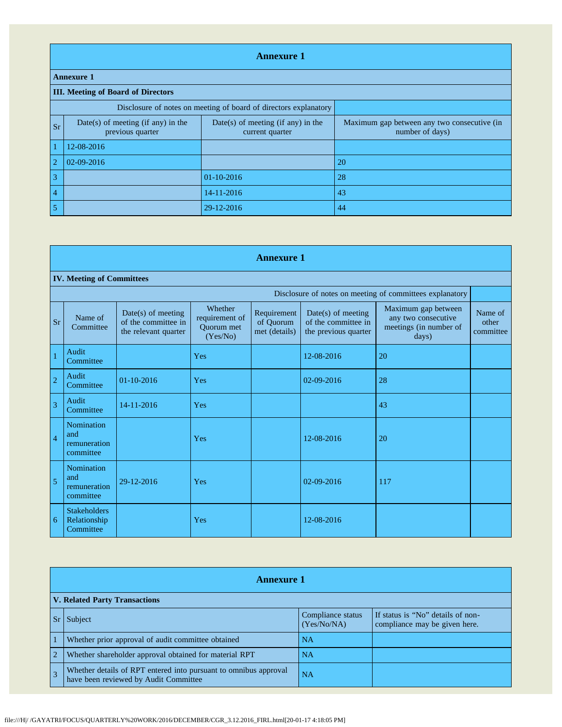|                | <b>Annexure 1</b>                                                |                                                       |                                                                |  |  |  |  |  |
|----------------|------------------------------------------------------------------|-------------------------------------------------------|----------------------------------------------------------------|--|--|--|--|--|
|                | <b>Annexure 1</b>                                                |                                                       |                                                                |  |  |  |  |  |
|                | <b>III.</b> Meeting of Board of Directors                        |                                                       |                                                                |  |  |  |  |  |
|                | Disclosure of notes on meeting of board of directors explanatory |                                                       |                                                                |  |  |  |  |  |
| <b>Sr</b>      | Date(s) of meeting (if any) in the<br>previous quarter           | Date(s) of meeting (if any) in the<br>current quarter | Maximum gap between any two consecutive (in<br>number of days) |  |  |  |  |  |
|                | 12-08-2016                                                       |                                                       |                                                                |  |  |  |  |  |
| $\overline{2}$ | 02-09-2016                                                       |                                                       | 20                                                             |  |  |  |  |  |
| 3              |                                                                  | $01-10-2016$                                          | 28                                                             |  |  |  |  |  |
| $\overline{4}$ |                                                                  | 14-11-2016                                            | 43                                                             |  |  |  |  |  |
| 5              |                                                                  | 29-12-2016                                            | 44                                                             |  |  |  |  |  |

|                | <b>Annexure 1</b>                                        |                                                                   |                                                     |                                           |                                                                   |                                                                               |                               |  |  |  |
|----------------|----------------------------------------------------------|-------------------------------------------------------------------|-----------------------------------------------------|-------------------------------------------|-------------------------------------------------------------------|-------------------------------------------------------------------------------|-------------------------------|--|--|--|
|                | <b>IV. Meeting of Committees</b>                         |                                                                   |                                                     |                                           |                                                                   |                                                                               |                               |  |  |  |
|                | Disclosure of notes on meeting of committees explanatory |                                                                   |                                                     |                                           |                                                                   |                                                                               |                               |  |  |  |
| <b>Sr</b>      | Name of<br>Committee                                     | Date(s) of meeting<br>of the committee in<br>the relevant quarter | Whether<br>requirement of<br>Ouorum met<br>(Yes/No) | Requirement<br>of Quorum<br>met (details) | Date(s) of meeting<br>of the committee in<br>the previous quarter | Maximum gap between<br>any two consecutive<br>meetings (in number of<br>days) | Name of<br>other<br>committee |  |  |  |
| $\mathbf{1}$   | Audit<br>Committee                                       |                                                                   | Yes                                                 |                                           | 12-08-2016                                                        | 20                                                                            |                               |  |  |  |
| $\overline{2}$ | Audit<br>Committee                                       | $01 - 10 - 2016$                                                  | Yes                                                 |                                           | $02 - 09 - 2016$                                                  | 28                                                                            |                               |  |  |  |
| $\overline{3}$ | Audit<br>Committee                                       | 14-11-2016                                                        | Yes                                                 |                                           |                                                                   | 43                                                                            |                               |  |  |  |
| $\overline{4}$ | Nomination<br>and<br>remuneration<br>committee           |                                                                   | Yes                                                 |                                           | 12-08-2016                                                        | 20                                                                            |                               |  |  |  |
| 5              | <b>Nomination</b><br>and<br>remuneration<br>committee    | 29-12-2016                                                        | Yes                                                 |                                           | $02 - 09 - 2016$                                                  | 117                                                                           |                               |  |  |  |
| 6              | <b>Stakeholders</b><br>Relationship<br>Committee         |                                                                   | Yes                                                 |                                           | 12-08-2016                                                        |                                                                               |                               |  |  |  |

|                | <b>Annexure 1</b>                                                                                         |                                  |                                                                    |  |  |  |  |
|----------------|-----------------------------------------------------------------------------------------------------------|----------------------------------|--------------------------------------------------------------------|--|--|--|--|
|                | <b>V. Related Party Transactions</b>                                                                      |                                  |                                                                    |  |  |  |  |
|                | Subject                                                                                                   | Compliance status<br>(Yes/No/NA) | If status is "No" details of non-<br>compliance may be given here. |  |  |  |  |
|                | Whether prior approval of audit committee obtained                                                        | <b>NA</b>                        |                                                                    |  |  |  |  |
| $\overline{2}$ | Whether shareholder approval obtained for material RPT                                                    | <b>NA</b>                        |                                                                    |  |  |  |  |
|                | Whether details of RPT entered into pursuant to omnibus approval<br>have been reviewed by Audit Committee | <b>NA</b>                        |                                                                    |  |  |  |  |